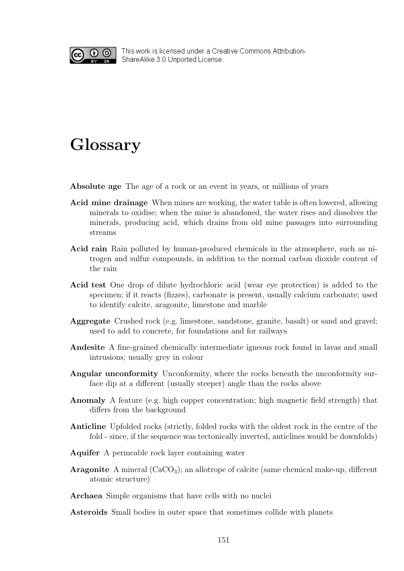

This work is licensed under a Creative Commons Attribution-ShareAlike 3.0 Unported License.

## Glossary

Absolute age The age of a rock or an event in years, or millions of years

- Acid mine drainage When mines are working, the water table is often lowered, allowing minerals to oxidise; when the mine is abandoned, the water rises and dissolves the minerals, producing acid, which drains from old mine passages into surrounding streams
- Acid rain Rain polluted by human-produced chemicals in the atmosphere, such as nitrogen and sulfur compounds, in addition to the normal carbon dioxide content of the rain
- Acid test One drop of dilute hydrochloric acid (wear eye protection) is added to the specimen; if it reacts (fizzes), carbonate is present, usually calcium carbonate; used to identify calcite, aragonite, limestone and marble
- Aggregate Crushed rock (e.g. limestone, sandstone, granite, basalt) or sand and gravel; used to add to concrete, for foundations and for railways
- Andesite A fine-grained chemically intermediate igneous rock found in lavas and small intrusions; usually grey in colour
- Angular unconformity Unconformity, where the rocks beneath the unconformity surface dip at a different (usually steeper) angle than the rocks above
- Anomaly A feature (e.g. high copper concentration; high magnetic field strength) that differs from the background
- Anticline Upfolded rocks (strictly, folded rocks with the oldest rock in the centre of the fold - since, if the sequence was tectonically inverted, anticlines would be downfolds)
- Aquifer A permeable rock layer containing water
- **Aragonite** A mineral  $(CaCO<sub>3</sub>)$ ; an allotrope of calcite (same chemical make-up, different atomic structure)

Archaea Simple organisms that have cells with no nuclei

Asteroids Small bodies in outer space that sometimes collide with planets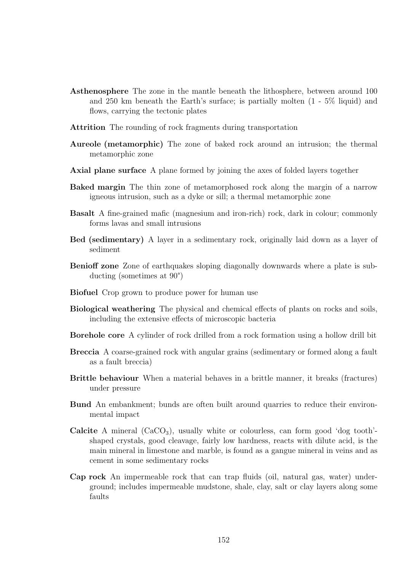- Asthenosphere The zone in the mantle beneath the lithosphere, between around 100 and 250 km beneath the Earth's surface; is partially molten (1 - 5% liquid) and flows, carrying the tectonic plates
- Attrition The rounding of rock fragments during transportation
- Aureole (metamorphic) The zone of baked rock around an intrusion; the thermal metamorphic zone
- Axial plane surface A plane formed by joining the axes of folded layers together
- Baked margin The thin zone of metamorphosed rock along the margin of a narrow igneous intrusion, such as a dyke or sill; a thermal metamorphic zone
- Basalt A fine-grained mafic (magnesium and iron-rich) rock, dark in colour; commonly forms lavas and small intrusions
- Bed (sedimentary) A layer in a sedimentary rock, originally laid down as a layer of sediment
- Benioff zone Zone of earthquakes sloping diagonally downwards where a plate is subducting (sometimes at 90°)
- Biofuel Crop grown to produce power for human use
- Biological weathering The physical and chemical effects of plants on rocks and soils, including the extensive effects of microscopic bacteria
- Borehole core A cylinder of rock drilled from a rock formation using a hollow drill bit
- Breccia A coarse-grained rock with angular grains (sedimentary or formed along a fault as a fault breccia)
- Brittle behaviour When a material behaves in a brittle manner, it breaks (fractures) under pressure
- Bund An embankment; bunds are often built around quarries to reduce their environmental impact
- **Calcite** A mineral  $(CaCO<sub>3</sub>)$ , usually white or colourless, can form good 'dog tooth'shaped crystals, good cleavage, fairly low hardness, reacts with dilute acid, is the main mineral in limestone and marble, is found as a gangue mineral in veins and as cement in some sedimentary rocks
- Cap rock An impermeable rock that can trap fluids (oil, natural gas, water) underground; includes impermeable mudstone, shale, clay, salt or clay layers along some faults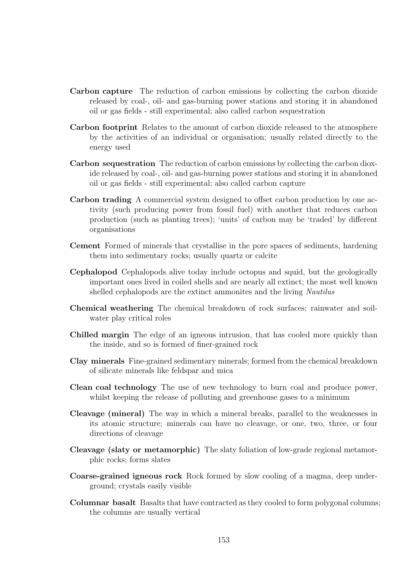- Carbon capture The reduction of carbon emissions by collecting the carbon dioxide released by coal-, oil- and gas-burning power stations and storing it in abandoned oil or gas fields - still experimental; also called carbon sequestration
- Carbon footprint Relates to the amount of carbon dioxide released to the atmosphere by the activities of an individual or organisation; usually related directly to the energy used
- Carbon sequestration The reduction of carbon emissions by collecting the carbon dioxide released by coal-, oil- and gas-burning power stations and storing it in abandoned oil or gas fields - still experimental; also called carbon capture
- Carbon trading A commercial system designed to offset carbon production by one activity (such producing power from fossil fuel) with another that reduces carbon production (such as planting trees); 'units' of carbon may be 'traded' by different organisations
- Cement Formed of minerals that crystallise in the pore spaces of sediments, hardening them into sedimentary rocks; usually quartz or calcite
- Cephalopod Cephalopods alive today include octopus and squid, but the geologically important ones lived in coiled shells and are nearly all extinct; the most well known shelled cephalopods are the extinct ammonites and the living *Nautilus*
- Chemical weathering The chemical breakdown of rock surfaces; rainwater and soilwater play critical roles
- Chilled margin The edge of an igneous intrusion, that has cooled more quickly than the inside, and so is formed of finer-grained rock
- Clay minerals Fine-grained sedimentary minerals; formed from the chemical breakdown of silicate minerals like feldspar and mica
- Clean coal technology The use of new technology to burn coal and produce power, whilst keeping the release of polluting and greenhouse gases to a minimum
- Cleavage (mineral) The way in which a mineral breaks, parallel to the weaknesses in its atomic structure; minerals can have no cleavage, or one, two, three, or four directions of cleavage
- Cleavage (slaty or metamorphic) The slaty foliation of low-grade regional metamorphic rocks; forms slates
- Coarse-grained igneous rock Rock formed by slow cooling of a magma, deep underground; crystals easily visible
- Columnar basalt Basalts that have contracted as they cooled to form polygonal columns; the columns are usually vertical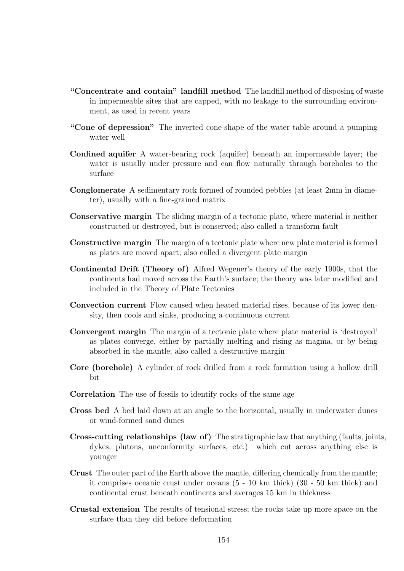- "Concentrate and contain" landfill method The landfill method of disposing of waste in impermeable sites that are capped, with no leakage to the surrounding environment, as used in recent years
- "Cone of depression" The inverted cone-shape of the water table around a pumping water well
- Confined aquifer A water-bearing rock (aquifer) beneath an impermeable layer; the water is usually under pressure and can flow naturally through boreholes to the surface
- Conglomerate A sedimentary rock formed of rounded pebbles (at least 2mm in diameter), usually with a fine-grained matrix
- Conservative margin The sliding margin of a tectonic plate, where material is neither constructed or destroyed, but is conserved; also called a transform fault
- Constructive margin The margin of a tectonic plate where new plate material is formed as plates are moved apart; also called a divergent plate margin
- Continental Drift (Theory of) Alfred Wegener's theory of the early 1900s, that the continents had moved across the Earth's surface; the theory was later modified and included in the Theory of Plate Tectonics
- Convection current Flow caused when heated material rises, because of its lower density, then cools and sinks, producing a continuous current
- Convergent margin The margin of a tectonic plate where plate material is 'destroyed' as plates converge, either by partially melting and rising as magma, or by being absorbed in the mantle; also called a destructive margin
- Core (borehole) A cylinder of rock drilled from a rock formation using a hollow drill bit
- Correlation The use of fossils to identify rocks of the same age
- Cross bed A bed laid down at an angle to the horizontal, usually in underwater dunes or wind-formed sand dunes
- Cross-cutting relationships (law of) The stratigraphic law that anything (faults, joints, dykes, plutons, unconformity surfaces, etc.) which cut across anything else is younger
- Crust The outer part of the Earth above the mantle, differing chemically from the mantle; it comprises oceanic crust under oceans (5 - 10 km thick) (30 - 50 km thick) and continental crust beneath continents and averages 15 km in thickness
- Crustal extension The results of tensional stress; the rocks take up more space on the surface than they did before deformation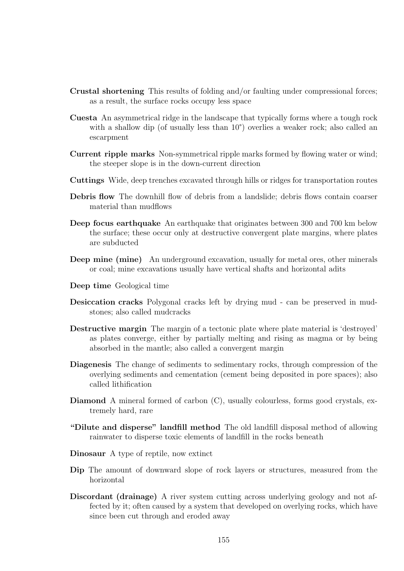- Crustal shortening This results of folding and/or faulting under compressional forces; as a result, the surface rocks occupy less space
- Cuesta An asymmetrical ridge in the landscape that typically forms where a tough rock with a shallow dip (of usually less than 10<sup>°</sup>) overlies a weaker rock; also called an escarpment
- Current ripple marks Non-symmetrical ripple marks formed by flowing water or wind; the steeper slope is in the down-current direction
- Cuttings Wide, deep trenches excavated through hills or ridges for transportation routes
- Debris flow The downhill flow of debris from a landslide; debris flows contain coarser material than mudflows
- Deep focus earthquake An earthquake that originates between 300 and 700 km below the surface; these occur only at destructive convergent plate margins, where plates are subducted
- Deep mine (mine) An underground excavation, usually for metal ores, other minerals or coal; mine excavations usually have vertical shafts and horizontal adits
- Deep time Geological time
- Desiccation cracks Polygonal cracks left by drying mud can be preserved in mudstones; also called mudcracks
- Destructive margin The margin of a tectonic plate where plate material is 'destroyed' as plates converge, either by partially melting and rising as magma or by being absorbed in the mantle; also called a convergent margin
- Diagenesis The change of sediments to sedimentary rocks, through compression of the overlying sediments and cementation (cement being deposited in pore spaces); also called lithification
- Diamond A mineral formed of carbon (C), usually colourless, forms good crystals, extremely hard, rare
- "Dilute and disperse" landfill method The old landfill disposal method of allowing rainwater to disperse toxic elements of landfill in the rocks beneath
- Dinosaur A type of reptile, now extinct
- Dip The amount of downward slope of rock layers or structures, measured from the horizontal
- Discordant (drainage) A river system cutting across underlying geology and not affected by it; often caused by a system that developed on overlying rocks, which have since been cut through and eroded away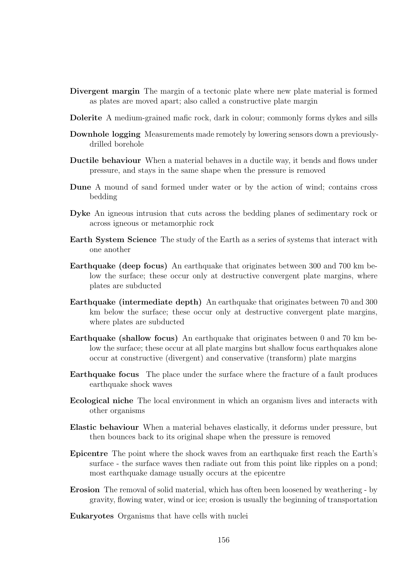- Divergent margin The margin of a tectonic plate where new plate material is formed as plates are moved apart; also called a constructive plate margin
- Dolerite A medium-grained mafic rock, dark in colour; commonly forms dykes and sills
- Downhole logging Measurements made remotely by lowering sensors down a previouslydrilled borehole
- Ductile behaviour When a material behaves in a ductile way, it bends and flows under pressure, and stays in the same shape when the pressure is removed
- Dune A mound of sand formed under water or by the action of wind; contains cross bedding
- Dyke An igneous intrusion that cuts across the bedding planes of sedimentary rock or across igneous or metamorphic rock
- Earth System Science The study of the Earth as a series of systems that interact with one another
- Earthquake (deep focus) An earthquake that originates between 300 and 700 km below the surface; these occur only at destructive convergent plate margins, where plates are subducted
- Earthquake (intermediate depth) An earthquake that originates between 70 and 300 km below the surface; these occur only at destructive convergent plate margins, where plates are subducted
- Earthquake (shallow focus) An earthquake that originates between 0 and 70 km below the surface; these occur at all plate margins but shallow focus earthquakes alone occur at constructive (divergent) and conservative (transform) plate margins
- Earthquake focus The place under the surface where the fracture of a fault produces earthquake shock waves
- Ecological niche The local environment in which an organism lives and interacts with other organisms
- Elastic behaviour When a material behaves elastically, it deforms under pressure, but then bounces back to its original shape when the pressure is removed
- Epicentre The point where the shock waves from an earthquake first reach the Earth's surface - the surface waves then radiate out from this point like ripples on a pond; most earthquake damage usually occurs at the epicentre
- Erosion The removal of solid material, which has often been loosened by weathering by gravity, flowing water, wind or ice; erosion is usually the beginning of transportation
- Eukaryotes Organisms that have cells with nuclei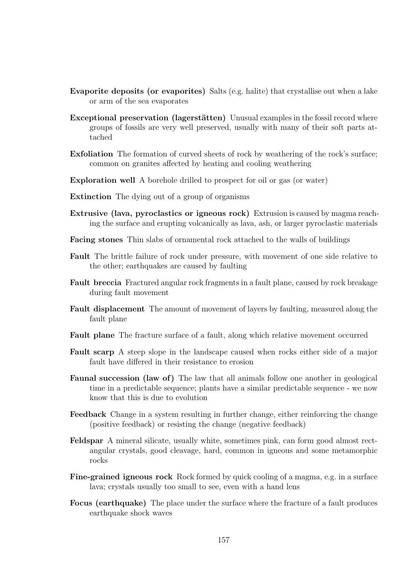- Evaporite deposits (or evaporites) Salts (e.g. halite) that crystallise out when a lake or arm of the sea evaporates
- **Exceptional preservation (lagerstätten)** Unusual examples in the fossil record where groups of fossils are very well preserved, usually with many of their soft parts attached
- Exfoliation The formation of curved sheets of rock by weathering of the rock's surface; common on granites affected by heating and cooling weathering
- Exploration well A borehole drilled to prospect for oil or gas (or water)
- Extinction The dying out of a group of organisms
- Extrusive (lava, pyroclastics or igneous rock) Extrusion is caused by magma reaching the surface and erupting volcanically as lava, ash, or larger pyroclastic materials
- Facing stones Thin slabs of ornamental rock attached to the walls of buildings
- Fault The brittle failure of rock under pressure, with movement of one side relative to the other; earthquakes are caused by faulting
- Fault breccia Fractured angular rock fragments in a fault plane, caused by rock breakage during fault movement
- Fault displacement The amount of movement of layers by faulting, measured along the fault plane
- Fault plane The fracture surface of a fault, along which relative movement occurred
- Fault scarp A steep slope in the landscape caused when rocks either side of a major fault have differed in their resistance to erosion
- Faunal succession (law of) The law that all animals follow one another in geological time in a predictable sequence; plants have a similar predictable sequence - we now know that this is due to evolution
- Feedback Change in a system resulting in further change, either reinforcing the change (positive feedback) or resisting the change (negative feedback)
- Feldspar A mineral silicate, usually white, sometimes pink, can form good almost rectangular crystals, good cleavage, hard, common in igneous and some metamorphic rocks
- Fine-grained igneous rock Rock formed by quick cooling of a magma, e.g. in a surface lava; crystals usually too small to see, even with a hand lens
- Focus (earthquake) The place under the surface where the fracture of a fault produces earthquake shock waves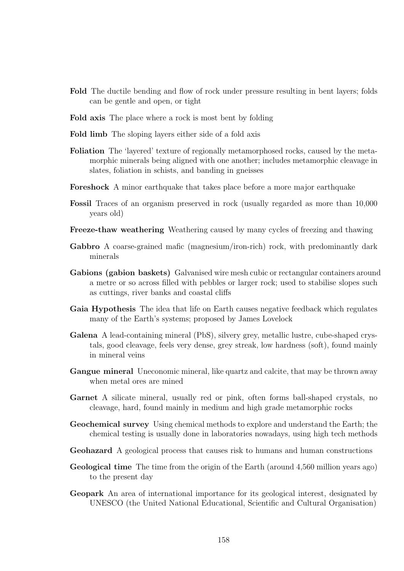- Fold The ductile bending and flow of rock under pressure resulting in bent layers; folds can be gentle and open, or tight
- Fold axis The place where a rock is most bent by folding
- Fold limb The sloping layers either side of a fold axis
- Foliation The 'layered' texture of regionally metamorphosed rocks, caused by the metamorphic minerals being aligned with one another; includes metamorphic cleavage in slates, foliation in schists, and banding in gneisses
- Foreshock A minor earthquake that takes place before a more major earthquake
- Fossil Traces of an organism preserved in rock (usually regarded as more than 10,000 years old)
- Freeze-thaw weathering Weathering caused by many cycles of freezing and thawing
- Gabbro A coarse-grained mafic (magnesium/iron-rich) rock, with predominantly dark minerals
- Gabions (gabion baskets) Galvanised wire mesh cubic or rectangular containers around a metre or so across filled with pebbles or larger rock; used to stabilise slopes such as cuttings, river banks and coastal cliffs
- Gaia Hypothesis The idea that life on Earth causes negative feedback which regulates many of the Earth's systems; proposed by James Lovelock
- Galena A lead-containing mineral (PbS), silvery grey, metallic lustre, cube-shaped crystals, good cleavage, feels very dense, grey streak, low hardness (soft), found mainly in mineral veins
- Gangue mineral Uneconomic mineral, like quartz and calcite, that may be thrown away when metal ores are mined
- Garnet A silicate mineral, usually red or pink, often forms ball-shaped crystals, no cleavage, hard, found mainly in medium and high grade metamorphic rocks
- Geochemical survey Using chemical methods to explore and understand the Earth; the chemical testing is usually done in laboratories nowadays, using high tech methods
- Geohazard A geological process that causes risk to humans and human constructions
- Geological time The time from the origin of the Earth (around 4,560 million years ago) to the present day
- Geopark An area of international importance for its geological interest, designated by UNESCO (the United National Educational, Scientific and Cultural Organisation)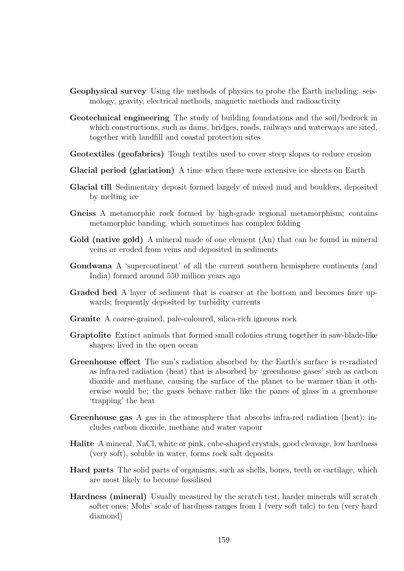- Geophysical survey Using the methods of physics to probe the Earth including: seismology, gravity, electrical methods, magnetic methods and radioactivity
- Geotechnical engineering The study of building foundations and the soil/bedrock in which constructions, such as dams, bridges, roads, railways and waterways are sited, together with landfill and coastal protection sites
- Geotextiles (geofabrics) Tough textiles used to cover steep slopes to reduce erosion
- Glacial period (glaciation) A time when there were extensive ice sheets on Earth
- Glacial till Sedimentary deposit formed largely of mixed mud and boulders, deposited by melting ice
- Gneiss A metamorphic rock formed by high-grade regional metamorphism; contains metamorphic banding, which sometimes has complex folding
- Gold (native gold) A mineral made of one element (Au) that can be found in mineral veins or eroded from veins and deposited in sediments
- Gondwana A 'supercontinent' of all the current southern hemisphere continents (and India) formed around 550 million years ago
- Graded bed A layer of sediment that is coarser at the bottom and becomes finer upwards; frequently deposited by turbidity currents
- Granite A coarse-grained, pale-coloured, silica-rich igneous rock
- Graptolite Extinct animals that formed small colonies strung together in saw-blade-like shapes; lived in the open ocean
- Greenhouse effect The sun's radiation absorbed by the Earth's surface is re-radiated as infra-red radiation (heat) that is absorbed by 'greenhouse gases' such as carbon dioxide and methane, causing the surface of the planet to be warmer than it otherwise would be; the gases behave rather like the panes of glass in a greenhouse 'trapping' the heat
- Greenhouse gas A gas in the atmosphere that absorbs infra-red radiation (heat); includes carbon dioxide, methane and water vapour
- Halite A mineral, NaCl, white or pink, cube-shaped crystals, good cleavage, low hardness (very soft), soluble in water, forms rock salt deposits
- Hard parts The solid parts of organisms, such as shells, bones, teeth or cartilage, which are most likely to become fossilised
- Hardness (mineral) Usually measured by the scratch test, harder minerals will scratch softer ones; Mohs' scale of hardness ranges from 1 (very soft talc) to ten (very hard diamond)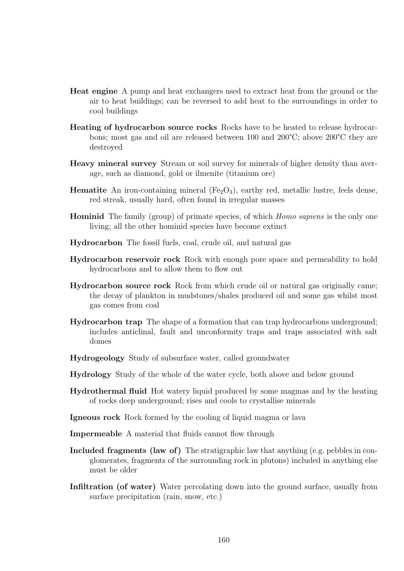- Heat engine A pump and heat exchangers used to extract heat from the ground or the air to heat buildings; can be reversed to add heat to the surroundings in order to cool buildings
- Heating of hydrocarbon source rocks Rocks have to be heated to release hydrocarbons; most gas and oil are released between 100 and 200°C; above 200°C they are destroyed
- Heavy mineral survey Stream or soil survey for minerals of higher density than average, such as diamond, gold or ilmenite (titanium ore)
- **Hematite** An iron-containing mineral  $(Fe<sub>2</sub>O<sub>3</sub>)$ , earthy red, metallic lustre, feels dense, red streak, usually hard, often found in irregular masses
- Hominid The family (group) of primate species, of which Homo sapiens is the only one living; all the other hominid species have become extinct
- Hydrocarbon The fossil fuels, coal, crude oil, and natural gas
- Hydrocarbon reservoir rock Rock with enough pore space and permeability to hold hydrocarbons and to allow them to flow out
- Hydrocarbon source rock Rock from which crude oil or natural gas originally came; the decay of plankton in mudstones/shales produced oil and some gas whilst most gas comes from coal
- Hydrocarbon trap The shape of a formation that can trap hydrocarbons underground; includes anticlinal, fault and unconformity traps and traps associated with salt domes
- Hydrogeology Study of subsurface water, called groundwater
- Hydrology Study of the whole of the water cycle, both above and below ground
- Hydrothermal fluid Hot watery liquid produced by some magmas and by the heating of rocks deep underground; rises and cools to crystallise minerals
- Igneous rock Rock formed by the cooling of liquid magma or lava
- Impermeable A material that fluids cannot flow through
- Included fragments (law of) The stratigraphic law that anything (e.g. pebbles in conglomerates, fragments of the surrounding rock in plutons) included in anything else must be older
- Infiltration (of water) Water percolating down into the ground surface, usually from surface precipitation (rain, snow, etc.)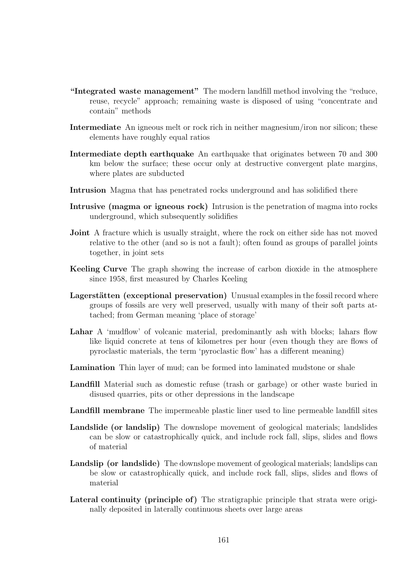- "Integrated waste management" The modern landfill method involving the "reduce, reuse, recycle" approach; remaining waste is disposed of using "concentrate and contain" methods
- Intermediate An igneous melt or rock rich in neither magnesium/iron nor silicon; these elements have roughly equal ratios
- Intermediate depth earthquake An earthquake that originates between 70 and 300 km below the surface; these occur only at destructive convergent plate margins, where plates are subducted
- Intrusion Magma that has penetrated rocks underground and has solidified there
- Intrusive (magma or igneous rock) Intrusion is the penetration of magma into rocks underground, which subsequently solidifies
- **Joint** A fracture which is usually straight, where the rock on either side has not moved relative to the other (and so is not a fault); often found as groups of parallel joints together, in joint sets
- Keeling Curve The graph showing the increase of carbon dioxide in the atmosphere since 1958, first measured by Charles Keeling
- Lagerstätten (exceptional preservation) Unusual examples in the fossil record where groups of fossils are very well preserved, usually with many of their soft parts attached; from German meaning 'place of storage'
- Lahar A 'mudflow' of volcanic material, predominantly ash with blocks; lahars flow like liquid concrete at tens of kilometres per hour (even though they are flows of pyroclastic materials, the term 'pyroclastic flow' has a different meaning)
- Lamination Thin layer of mud; can be formed into laminated mudstone or shale
- Landfill Material such as domestic refuse (trash or garbage) or other waste buried in disused quarries, pits or other depressions in the landscape
- Landfill membrane The impermeable plastic liner used to line permeable landfill sites
- Landslide (or landslip) The downslope movement of geological materials; landslides can be slow or catastrophically quick, and include rock fall, slips, slides and flows of material
- Landslip (or landslide) The downslope movement of geological materials; landslips can be slow or catastrophically quick, and include rock fall, slips, slides and flows of material
- Lateral continuity (principle of) The stratigraphic principle that strata were originally deposited in laterally continuous sheets over large areas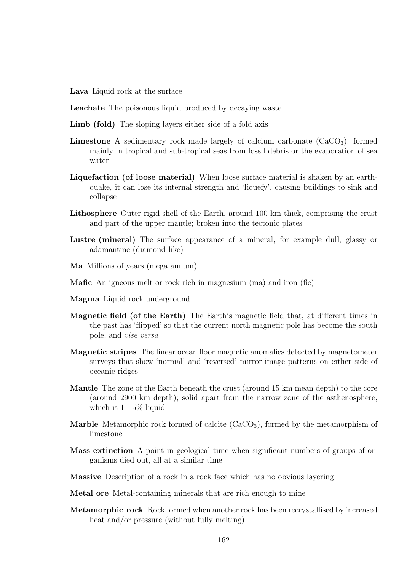Lava Liquid rock at the surface

- Leachate The poisonous liquid produced by decaying waste
- Limb (fold) The sloping layers either side of a fold axis
- **Limestone** A sedimentary rock made largely of calcium carbonate  $(CaCO<sub>3</sub>)$ ; formed mainly in tropical and sub-tropical seas from fossil debris or the evaporation of sea water
- Liquefaction (of loose material) When loose surface material is shaken by an earthquake, it can lose its internal strength and 'liquefy', causing buildings to sink and collapse
- Lithosphere Outer rigid shell of the Earth, around 100 km thick, comprising the crust and part of the upper mantle; broken into the tectonic plates
- Lustre (mineral) The surface appearance of a mineral, for example dull, glassy or adamantine (diamond-like)
- Ma Millions of years (mega annum)
- Mafic An igneous melt or rock rich in magnesium (ma) and iron (fic)
- Magma Liquid rock underground
- Magnetic field (of the Earth) The Earth's magnetic field that, at different times in the past has 'flipped' so that the current north magnetic pole has become the south pole, and vise versa
- Magnetic stripes The linear ocean floor magnetic anomalies detected by magnetometer surveys that show 'normal' and 'reversed' mirror-image patterns on either side of oceanic ridges
- Mantle The zone of the Earth beneath the crust (around 15 km mean depth) to the core (around 2900 km depth); solid apart from the narrow zone of the asthenosphere, which is 1 - 5% liquid
- **Marble** Metamorphic rock formed of calcite  $(CaCO<sub>3</sub>)$ , formed by the metamorphism of limestone
- Mass extinction A point in geological time when significant numbers of groups of organisms died out, all at a similar time
- Massive Description of a rock in a rock face which has no obvious layering

Metal ore Metal-containing minerals that are rich enough to mine

Metamorphic rock Rock formed when another rock has been recrystallised by increased heat and/or pressure (without fully melting)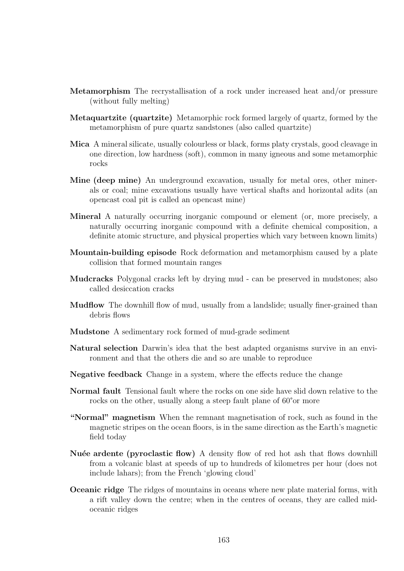- Metamorphism The recrystallisation of a rock under increased heat and/or pressure (without fully melting)
- Metaquartzite (quartzite) Metamorphic rock formed largely of quartz, formed by the metamorphism of pure quartz sandstones (also called quartzite)
- Mica A mineral silicate, usually colourless or black, forms platy crystals, good cleavage in one direction, low hardness (soft), common in many igneous and some metamorphic rocks
- Mine (deep mine) An underground excavation, usually for metal ores, other minerals or coal; mine excavations usually have vertical shafts and horizontal adits (an opencast coal pit is called an opencast mine)
- Mineral A naturally occurring inorganic compound or element (or, more precisely, a naturally occurring inorganic compound with a definite chemical composition, a definite atomic structure, and physical properties which vary between known limits)
- Mountain-building episode Rock deformation and metamorphism caused by a plate collision that formed mountain ranges
- Mudcracks Polygonal cracks left by drying mud can be preserved in mudstones; also called desiccation cracks
- **Mudflow** The downhill flow of mud, usually from a landslide; usually finer-grained than debris flows
- Mudstone A sedimentary rock formed of mud-grade sediment
- Natural selection Darwin's idea that the best adapted organisms survive in an environment and that the others die and so are unable to reproduce
- Negative feedback Change in a system, where the effects reduce the change
- Normal fault Tensional fault where the rocks on one side have slid down relative to the rocks on the other, usually along a steep fault plane of 60°or more
- "Normal" magnetism When the remnant magnetisation of rock, such as found in the magnetic stripes on the ocean floors, is in the same direction as the Earth's magnetic field today
- Nuée ardente (pyroclastic flow) A density flow of red hot ash that flows downhill from a volcanic blast at speeds of up to hundreds of kilometres per hour (does not include lahars); from the French 'glowing cloud'
- Oceanic ridge The ridges of mountains in oceans where new plate material forms, with a rift valley down the centre; when in the centres of oceans, they are called midoceanic ridges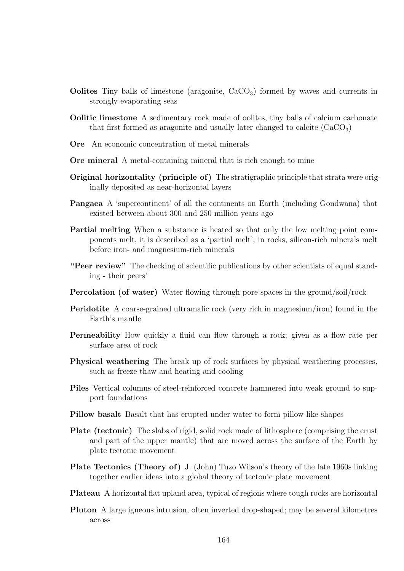- **Oolites** Tiny balls of limestone (aragonite,  $CaCO<sub>3</sub>$ ) formed by waves and currents in strongly evaporating seas
- Oolitic limestone A sedimentary rock made of oolites, tiny balls of calcium carbonate that first formed as a ragonite and usually later changed to calcite  $(CaCO<sub>3</sub>)$
- Ore An economic concentration of metal minerals
- Ore mineral A metal-containing mineral that is rich enough to mine
- Original horizontality (principle of) The stratigraphic principle that strata were originally deposited as near-horizontal layers
- Pangaea A 'supercontinent' of all the continents on Earth (including Gondwana) that existed between about 300 and 250 million years ago
- Partial melting When a substance is heated so that only the low melting point components melt, it is described as a 'partial melt'; in rocks, silicon-rich minerals melt before iron- and magnesium-rich minerals
- "Peer review" The checking of scientific publications by other scientists of equal standing - their peers'
- Percolation (of water) Water flowing through pore spaces in the ground/soil/rock
- Peridotite A coarse-grained ultramafic rock (very rich in magnesium/iron) found in the Earth's mantle
- Permeability How quickly a fluid can flow through a rock; given as a flow rate per surface area of rock
- Physical weathering The break up of rock surfaces by physical weathering processes, such as freeze-thaw and heating and cooling
- Piles Vertical columns of steel-reinforced concrete hammered into weak ground to support foundations
- Pillow basalt Basalt that has erupted under water to form pillow-like shapes
- Plate (tectonic) The slabs of rigid, solid rock made of lithosphere (comprising the crust and part of the upper mantle) that are moved across the surface of the Earth by plate tectonic movement
- Plate Tectonics (Theory of) J. (John) Tuzo Wilson's theory of the late 1960s linking together earlier ideas into a global theory of tectonic plate movement
- Plateau A horizontal flat upland area, typical of regions where tough rocks are horizontal
- Pluton A large igneous intrusion, often inverted drop-shaped; may be several kilometres across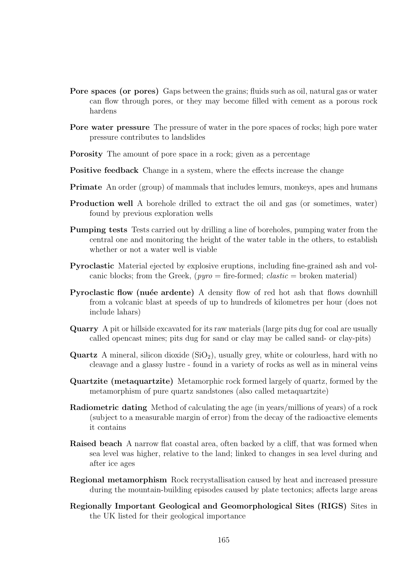- Pore spaces (or pores) Gaps between the grains; fluids such as oil, natural gas or water can flow through pores, or they may become filled with cement as a porous rock hardens
- Pore water pressure The pressure of water in the pore spaces of rocks; high pore water pressure contributes to landslides
- Porosity The amount of pore space in a rock; given as a percentage
- Positive feedback Change in a system, where the effects increase the change
- Primate An order (group) of mammals that includes lemurs, monkeys, apes and humans
- Production well A borehole drilled to extract the oil and gas (or sometimes, water) found by previous exploration wells
- Pumping tests Tests carried out by drilling a line of boreholes, pumping water from the central one and monitoring the height of the water table in the others, to establish whether or not a water well is viable
- Pyroclastic Material ejected by explosive eruptions, including fine-grained ash and volcanic blocks; from the Greek,  $(pyno = fire-formed; clastic = broken material)$
- Pyroclastic flow (nuée ardente) A density flow of red hot ash that flows downhill from a volcanic blast at speeds of up to hundreds of kilometres per hour (does not include lahars)
- Quarry A pit or hillside excavated for its raw materials (large pits dug for coal are usually called opencast mines; pits dug for sand or clay may be called sand- or clay-pits)
- **Quartz** A mineral, silicon dioxide  $(SiO<sub>2</sub>)$ , usually grey, white or colourless, hard with no cleavage and a glassy lustre - found in a variety of rocks as well as in mineral veins
- Quartzite (metaquartzite) Metamorphic rock formed largely of quartz, formed by the metamorphism of pure quartz sandstones (also called metaquartzite)
- Radiometric dating Method of calculating the age (in years/millions of years) of a rock (subject to a measurable margin of error) from the decay of the radioactive elements it contains
- Raised beach A narrow flat coastal area, often backed by a cliff, that was formed when sea level was higher, relative to the land; linked to changes in sea level during and after ice ages
- Regional metamorphism Rock recrystallisation caused by heat and increased pressure during the mountain-building episodes caused by plate tectonics; affects large areas
- Regionally Important Geological and Geomorphological Sites (RIGS) Sites in the UK listed for their geological importance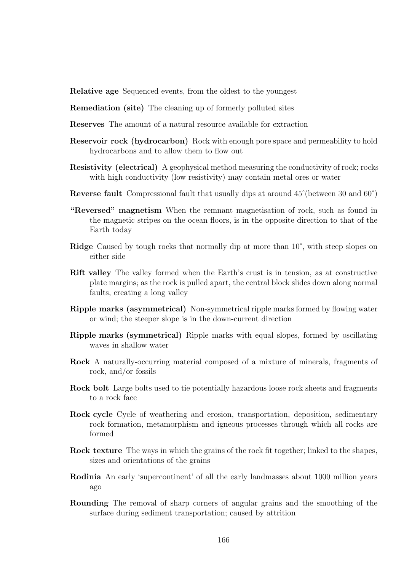Relative age Sequenced events, from the oldest to the youngest

- Remediation (site) The cleaning up of formerly polluted sites
- Reserves The amount of a natural resource available for extraction
- Reservoir rock (hydrocarbon) Rock with enough pore space and permeability to hold hydrocarbons and to allow them to flow out
- Resistivity (electrical) A geophysical method measuring the conductivity of rock; rocks with high conductivity (low resistivity) may contain metal ores or water
- Reverse fault Compressional fault that usually dips at around 45°(between 30 and 60°)
- "Reversed" magnetism When the remnant magnetisation of rock, such as found in the magnetic stripes on the ocean floors, is in the opposite direction to that of the Earth today
- Ridge Caused by tough rocks that normally dip at more than 10°, with steep slopes on either side
- Rift valley The valley formed when the Earth's crust is in tension, as at constructive plate margins; as the rock is pulled apart, the central block slides down along normal faults, creating a long valley
- Ripple marks (asymmetrical) Non-symmetrical ripple marks formed by flowing water or wind; the steeper slope is in the down-current direction
- Ripple marks (symmetrical) Ripple marks with equal slopes, formed by oscillating waves in shallow water
- Rock A naturally-occurring material composed of a mixture of minerals, fragments of rock, and/or fossils
- Rock bolt Large bolts used to tie potentially hazardous loose rock sheets and fragments to a rock face
- Rock cycle Cycle of weathering and erosion, transportation, deposition, sedimentary rock formation, metamorphism and igneous processes through which all rocks are formed
- Rock texture The ways in which the grains of the rock fit together; linked to the shapes, sizes and orientations of the grains
- Rodinia An early 'supercontinent' of all the early landmasses about 1000 million years ago
- Rounding The removal of sharp corners of angular grains and the smoothing of the surface during sediment transportation; caused by attrition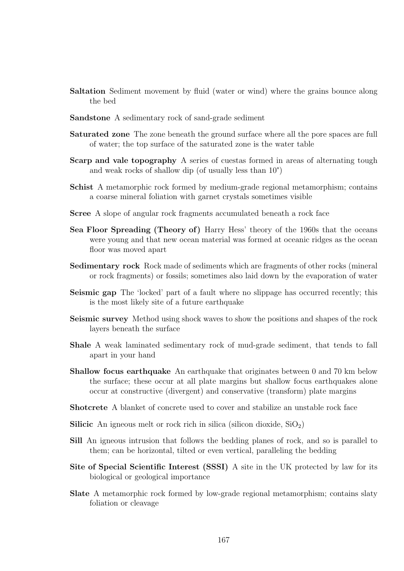- Saltation Sediment movement by fluid (water or wind) where the grains bounce along the bed
- Sandstone A sedimentary rock of sand-grade sediment
- Saturated zone The zone beneath the ground surface where all the pore spaces are full of water; the top surface of the saturated zone is the water table
- Scarp and vale topography A series of cuestas formed in areas of alternating tough and weak rocks of shallow dip (of usually less than 10°)
- Schist A metamorphic rock formed by medium-grade regional metamorphism; contains a coarse mineral foliation with garnet crystals sometimes visible
- Scree A slope of angular rock fragments accumulated beneath a rock face
- Sea Floor Spreading (Theory of) Harry Hess' theory of the 1960s that the oceans were young and that new ocean material was formed at oceanic ridges as the ocean floor was moved apart
- Sedimentary rock Rock made of sediments which are fragments of other rocks (mineral or rock fragments) or fossils; sometimes also laid down by the evaporation of water
- Seismic gap The 'locked' part of a fault where no slippage has occurred recently; this is the most likely site of a future earthquake
- Seismic survey Method using shock waves to show the positions and shapes of the rock layers beneath the surface
- Shale A weak laminated sedimentary rock of mud-grade sediment, that tends to fall apart in your hand
- Shallow focus earthquake An earthquake that originates between 0 and 70 km below the surface; these occur at all plate margins but shallow focus earthquakes alone occur at constructive (divergent) and conservative (transform) plate margins
- Shotcrete A blanket of concrete used to cover and stabilize an unstable rock face
- **Silicic** An igneous melt or rock rich in silica (silicon dioxide,  $SiO<sub>2</sub>$ )
- Sill An igneous intrusion that follows the bedding planes of rock, and so is parallel to them; can be horizontal, tilted or even vertical, paralleling the bedding
- Site of Special Scientific Interest (SSSI) A site in the UK protected by law for its biological or geological importance
- Slate A metamorphic rock formed by low-grade regional metamorphism; contains slaty foliation or cleavage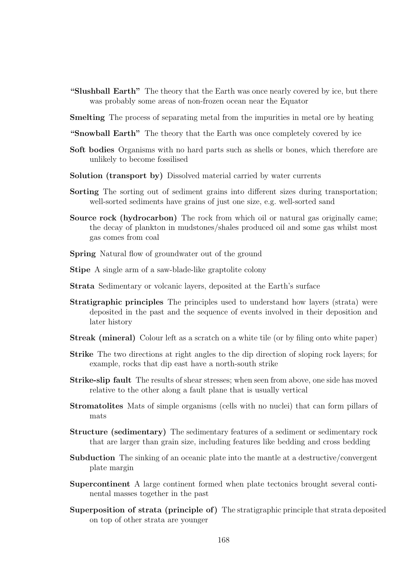- "Slushball Earth" The theory that the Earth was once nearly covered by ice, but there was probably some areas of non-frozen ocean near the Equator
- **Smelting** The process of separating metal from the impurities in metal ore by heating
- "Snowball Earth" The theory that the Earth was once completely covered by ice
- Soft bodies Organisms with no hard parts such as shells or bones, which therefore are unlikely to become fossilised
- Solution (transport by) Dissolved material carried by water currents
- Sorting The sorting out of sediment grains into different sizes during transportation; well-sorted sediments have grains of just one size, e.g. well-sorted sand
- Source rock (hydrocarbon) The rock from which oil or natural gas originally came; the decay of plankton in mudstones/shales produced oil and some gas whilst most gas comes from coal
- Spring Natural flow of groundwater out of the ground
- Stipe A single arm of a saw-blade-like graptolite colony
- Strata Sedimentary or volcanic layers, deposited at the Earth's surface
- Stratigraphic principles The principles used to understand how layers (strata) were deposited in the past and the sequence of events involved in their deposition and later history
- Streak (mineral) Colour left as a scratch on a white tile (or by filing onto white paper)
- Strike The two directions at right angles to the dip direction of sloping rock layers; for example, rocks that dip east have a north-south strike
- Strike-slip fault The results of shear stresses; when seen from above, one side has moved relative to the other along a fault plane that is usually vertical
- Stromatolites Mats of simple organisms (cells with no nuclei) that can form pillars of mats
- Structure (sedimentary) The sedimentary features of a sediment or sedimentary rock that are larger than grain size, including features like bedding and cross bedding
- Subduction The sinking of an oceanic plate into the mantle at a destructive/convergent plate margin
- Supercontinent A large continent formed when plate tectonics brought several continental masses together in the past
- Superposition of strata (principle of) The stratigraphic principle that strata deposited on top of other strata are younger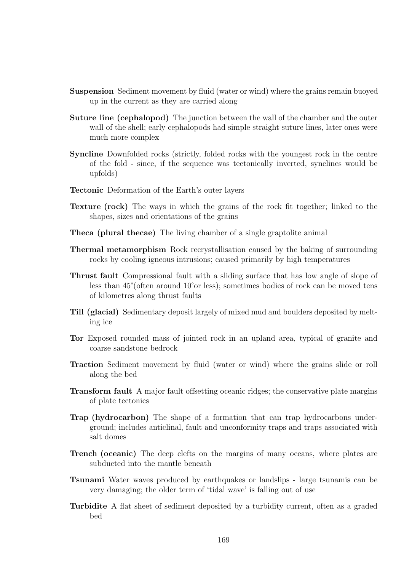- Suspension Sediment movement by fluid (water or wind) where the grains remain buoyed up in the current as they are carried along
- Suture line (cephalopod) The junction between the wall of the chamber and the outer wall of the shell; early cephalopods had simple straight suture lines, later ones were much more complex
- Syncline Downfolded rocks (strictly, folded rocks with the youngest rock in the centre of the fold - since, if the sequence was tectonically inverted, synclines would be upfolds)
- Tectonic Deformation of the Earth's outer layers
- Texture (rock) The ways in which the grains of the rock fit together; linked to the shapes, sizes and orientations of the grains
- Theca (plural thecae) The living chamber of a single graptolite animal
- Thermal metamorphism Rock recrystallisation caused by the baking of surrounding rocks by cooling igneous intrusions; caused primarily by high temperatures
- Thrust fault Compressional fault with a sliding surface that has low angle of slope of less than 45°(often around 10°or less); sometimes bodies of rock can be moved tens of kilometres along thrust faults
- Till (glacial) Sedimentary deposit largely of mixed mud and boulders deposited by melting ice
- Tor Exposed rounded mass of jointed rock in an upland area, typical of granite and coarse sandstone bedrock
- Traction Sediment movement by fluid (water or wind) where the grains slide or roll along the bed
- Transform fault A major fault offsetting oceanic ridges; the conservative plate margins of plate tectonics
- Trap (hydrocarbon) The shape of a formation that can trap hydrocarbons underground; includes anticlinal, fault and unconformity traps and traps associated with salt domes
- Trench (oceanic) The deep clefts on the margins of many oceans, where plates are subducted into the mantle beneath
- Tsunami Water waves produced by earthquakes or landslips large tsunamis can be very damaging; the older term of 'tidal wave' is falling out of use
- Turbidite A flat sheet of sediment deposited by a turbidity current, often as a graded bed